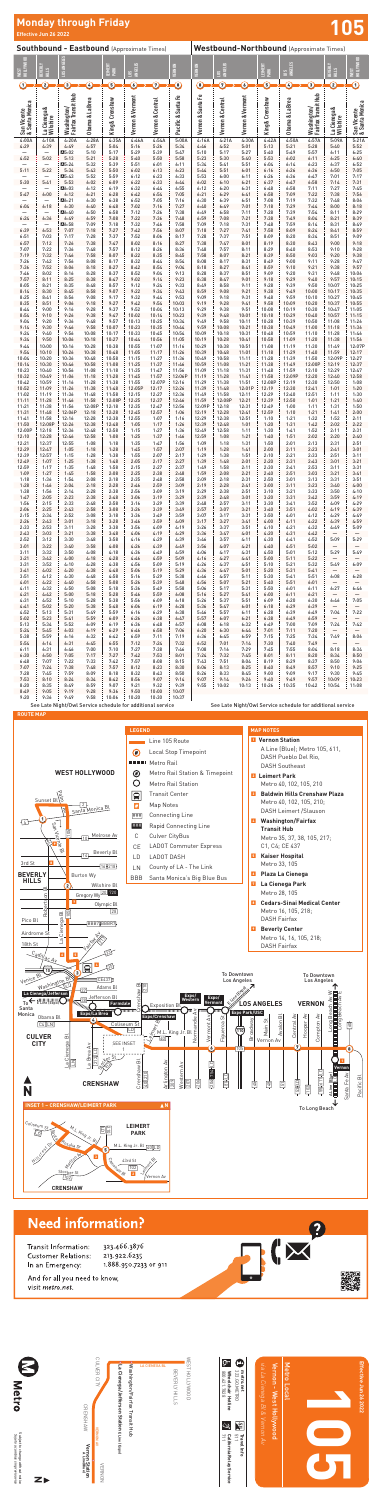$\begin{tabular}{ll} \hline \textbf{0} & metcount \\ & 323.60 \text{ METRO} \\ & \textbf{Wneechair Hottine} \\ & \textbf{Wneechair Hottine} \end{tabular}$ WEST HOLLYWOOD<br>BEVERLY HILLS<br>BEVERLY HILLS<br>BEVERLY HILLS<br>CULVER CITY LA CIENEGA BL Washington/Fairfax Transit Hub **La Cienega/Jefferson Station E Line (Expo)** 800.621.7828 **Wheelchair Hotline** 323.GO.METRO **metro.net** Vernon Station<br>CRENSHAW ALine[Blue] CRENSHAW N<sub>5</sub> رن<br>پا VERNON AV **ERNONAV**  $\frac{1}{5}$  Travel Info California Relay Service<br>711 **California Relay Service Travel Info Vernon Station A Line(Blue) VERNON** VERNON

Subject to change without notice<br>Sujeto a *cambios sin previo aviso* Subject to change without notice *Sujeto a cambios sin previo aviso*



Vernon - West Hollywood Metro Local Vernon - West Hollywood Metro Local

# **Effective Jun 26 2022**<br>Effective Jun 26 2022

|                                                   | LITECUTE JUIL LU LULI                 |                                    |                                                             |                 |                  |                    |                    |                   |                                                 |                  |                         |                 |                                    |                           |                                  |  |
|---------------------------------------------------|---------------------------------------|------------------------------------|-------------------------------------------------------------|-----------------|------------------|--------------------|--------------------|-------------------|-------------------------------------------------|------------------|-------------------------|-----------------|------------------------------------|---------------------------|----------------------------------|--|
| <b>Southbound - Eastbound (Approximate Times)</b> |                                       |                                    |                                                             |                 |                  |                    |                    |                   | <b>Westbound-Northbound (Approximate Times)</b> |                  |                         |                 |                                    |                           |                                  |  |
| HOLLYWOOD<br><b>WEST</b>                          | BEVERLY<br>HILLS                      | LOS ANGELES                        |                                                             | LEIMERT<br>PARK | ANGELES<br>SOT   |                    | VERNON             | <b>VERNON</b>     | ANGELES<br>$\mathbf{S}$                         |                  | LEIMERT<br>PARK         | ANGELES<br>301  |                                    | BEVERLY<br>$rac{1}{2}$    | HOLLYWOOD<br><b>IS3M</b>         |  |
| $\rm{C}$                                          | C                                     | Э                                  | $\mathcal{L}% _{M_{1},M_{2}}^{\alpha,\beta}(\theta,\omega)$ | Ξ               | $\bullet$        | $\bm{\mathcal{D}}$ | $\bm{\Theta}$      | C                 | $\mathcal D$                                    | $\epsilon$       | $\overline{\mathbf{5}}$ | $\mathbb C$     | $\overline{\mathbf{3}}$            | 2                         | $\rm O$                          |  |
| San Vicente<br>& Santa Monica                     | La Cienega &<br>Wilshire <sup>®</sup> | Washington/<br>Fairfax Transit Hub | Obama & La Brea                                             | King & Crenshaw | Vernon & Vermont | Vernon & Central   | Pacific & Santa Fe | Vernon & Santa Fe | Vernon & Central                                | Vernon & Vermont | King & Crenshaw         | Obama & La Brea | Washington/<br>Fairfax Transit Hub | La Cienega &<br>Wilshire  | San Vicente<br>  & Santa Monica  |  |
| 4:00A                                             | 4:10A                                 | 4:20A                              | 4:28A                                                       | 4:35A           | 4:46A            | 4:54A              | 5:00A              | 4:16A             | 4:21A                                           | 4:30A            | 4:42A                   | 4:50A           | 4:57A                              | 5:09A                     | 5:21A                            |  |
| 4:29                                              | 4:39                                  | 4:49<br>A5:02                      | 4:57<br>5:10                                                | 5:04<br>5:17    | 5:16<br>5:29     | 5:26<br>5:39       | 5:34<br>5:47       | 4:46<br>5:10      | 4:52<br>5:17                                    | 5:01<br>5:27     | 5:13<br>5:40            | 5:21<br>5:49    | 5:28<br>5:57                       | 5:40<br>6:11              | 5:52<br>6:25                     |  |
| 4:52                                              | 5:02                                  | 5:13                               | 5:21                                                        | 5:28            | 5:40             | 5:50               | 5:58               | 5:23              | 5:30                                            | 5:40             | 5:53                    | 6:02            | 6:11                               | 6:25                      | 6:40                             |  |
|                                                   | $\qquad \qquad -$                     | ■5:24                              | 5:32                                                        | 5:39            | 5:51             | 6:01               | 6:11               | 5:34              | 5:41                                            | 5:51             | 6:04                    | 6:14            | 6:23                               | 6:37                      | 6:52                             |  |
| 5:11                                              | 5:22<br>$\overline{\phantom{0}}$      | 5:34<br>A5:43                      | 5:43<br>5:52                                                | 5:50<br>5:59    | 6:02<br>6:12     | 6:13<br>6:23       | 6:23<br>6:33       | 5:44<br>5:53      | 5:51<br>6:00                                    | 6:01<br>6:11     | 6:16<br>6:26            | 6:26<br>6:36    | 6:36<br>6:47                       | 6:50<br>7:01              | 7:05<br>7:17                     |  |
| 5:30                                              | 5:41                                  | 5:53                               | 6:02                                                        | 6:09            | 6:22             | 6:33               | 6:44               | 6:02              | 6:10                                            | 6:21             | 6:37                    | 6:47            | 6:58                               | 7:14                      | 7:31                             |  |
|                                                   |                                       | ■6:03                              | 6:12                                                        | 6:19            | 6:32             | 6:44               | 6:55               | 6:12              | 6:20                                            | 6:31             | 6:48                    | 6:58            | 7:11                               | 7:27                      | 7:45                             |  |
| 5:47                                              | 6:00<br>$\qquad \qquad -$             | 6:12<br>A6:21                      | 6:21<br>6:30                                                | 6:28<br>6:38    | 6:42<br>6:52     | 6:54<br>7:05       | 7:05<br>7:16       | 6:21<br>6:30      | 6:29<br>6:39                                    | 6:41<br>6:51     | 6:58<br>7:08            | 7:09<br>7:19    | 7:22<br>7:32                       | 7:38<br>7:48              | 7:56<br>8:06                     |  |
| 6:04                                              | 6:18                                  | 6:30                               | 6:40                                                        | 6:48            | 7:02             | 7:16               | 7:27               | 6:40              | 6:49                                            | 7:01             | 7:18                    | 7:29            | 7:44                               | 8:00                      | 8:18                             |  |
| 6:24                                              | $\overline{\phantom{0}}$<br>6:36      | A6:40<br>6:49                      | 6:50<br>6:59                                                | 6:58<br>7:08    | 7:12<br>7:22     | 7:26<br>7:36       | 7:38<br>7:48       | 6:49<br>6:59      | 6:58<br>7:08                                    | 7:11<br>7:21     | 7:28<br>7:38            | 7:39<br>7:49    | 7:54<br>8:04                       | 8:11<br>8:21              | 8:29<br>8:39                     |  |
|                                                   |                                       | ⊠6:58                              | 7:09                                                        | 7:18            | 7:32             | 7:46               | 7:58               | 7:09              | 7:18                                            | 7:31             | 7:48                    | 7:59            | 8:14                               | 8:31                      | 8:49                             |  |
| 6:39                                              | 6:53                                  | 7:07                               | 7:18                                                        | 7:27            | 7:42             | 7:56               | 8:07               | 7:18              | 7:27                                            | 7:41             | 7:58                    | 8:09            | 8:24                               | 8:41                      | 8:59                             |  |
| 6:51<br>6:57                                      | 7:03<br>7:12                          | 7:17<br>7:26                       | 7:28<br>7:38                                                | 7:37<br>7:47    | 7:52<br>8:02     | 8:06<br>8:16       | 8:17<br>8:27       | 7:28<br>7:38      | 7:37<br>7:47                                    | 7:51<br>8:01     | 8:09<br>8:19            | 8:20<br>8:30    | 8:34<br>8:43                       | 8:51<br>9:00              | 9:09<br>9:18                     |  |
| 7:07                                              | 7:22                                  | 7:36                               | 7:48                                                        | 7:57            | 8:12             | 8:26               | 8:36               | 7:48              | 7:57                                            | 8:11             | 8:29                    | 8:40            | 8:53                               | 9:10                      | 9:28                             |  |
| 7:19                                              | 7:32                                  | 7:46                               | 7:58                                                        | 8:07            | 8:22             | 8:35               | 8:45               | 7:58              | 8:07                                            | 8:21             | 8:39                    | 8:50            | 9:03                               | 9:20                      | 9:38                             |  |
| 7:26<br>7:36                                      | 7:42<br>7:52                          | 7:56<br>8:06                       | 8:08<br>8:18                                                | 8:17<br>8:27    | 8:32<br>8:42     | 8:44<br>8:54       | 8:54<br>9:04       | 8:08<br>8:18      | 8:17<br>8:27                                    | 8:31<br>8:41     | 8:49<br>8:59            | 9:00<br>9:10    | 9:11<br>9:21                       | 9:28<br>9:38              | 9:47<br>9:57                     |  |
| 7:46                                              | 8:02                                  | 8:16                               | 8:28                                                        | 8:37            | 8:52             | 9:04               | 9:13               | 8:28              | 8:37                                            | 8:51             | 9:09                    | 9:20            | 9:31                               | 9:48                      | 10:06                            |  |
| 7:57                                              | 8:11                                  | 8:25                               | 8:38                                                        | 8:47            | 9:02             | 9:14               | 9:23               | 8:38              | 8:47                                            | 9:01             | 9:18                    | 9:29            | 9:40                               | 9:57                      | 10:15                            |  |
| 8:05<br>8:14                                      | 8:21<br>8:30                          | 8:35<br>8:45                       | 8:48<br>8:58                                                | 8:57<br>9:07    | 9:12<br>9:22     | 9:24<br>9:34       | 9:33<br>9:43       | 8:49<br>8:59      | 8:58<br>9:08                                    | 9:11<br>9:21     | 9:28<br>9:38            | 9:39<br>9:49    | 9:50<br>10:00                      | 10:07<br>10:17            | 10:25<br>10:35                   |  |
| 8:25                                              | 8:41                                  | 8:56                               | 9:08                                                        | 9:17            | 9:32             | 9:44               | 9:53               | 9:09              | 9:18                                            | 9:31             | 9:48                    | 9:59            | 10:10                              | 10:27                     | 10:45                            |  |
| 8:35<br>8:44                                      | 8:51<br>9:00                          | 9:06<br>9:16                       | 9:18<br>9:28                                                | 9:27<br>9:37    | 9:42<br>9:52     | 9:54<br>10:04      | 10:03<br>10:13     | 9:19<br>9:29      | 9:28<br>9:38                                    | 9:41<br>9:51     | 9:58<br>10:08           | 10:09<br>10:19  | 10:20<br>10:30                     | 10:37<br>10:47            | 10:55<br>11:05                   |  |
| 8:54                                              | 9:10                                  | 9:26                               | 9:38                                                        | 9:47            | 10:02            | 10:14              | 10:23              | 9:39              | 9:48                                            | 10:01            | 10:18                   | 10:29           | 10:40                              | 10:57                     | 11:15                            |  |
| 9:04                                              | 9:20                                  | 9:36                               | 9:48                                                        | 9:57            | 10:13            | 10:25              | 10:34              | 9:49              | 9:58                                            | 10:11            | 10:28                   | 10:39           | 10:50                              | 11:08                     | 11:26                            |  |
| 9:14<br>9:24                                      | 9:30<br>9:40                          | 9:46<br>9:56                       | 9:58<br>10:08                                               | 10:07<br>10:17  | 10:23<br>10:33   | 10:35<br>10:45     | 10:44<br>10:54     | 9:59<br>10:09     | 10:08<br>10:18                                  | 10:21<br>10:31   | 10:38<br>10:48          | 10:49<br>10:59  | 11:00<br>11:10                     | 11:18<br>11:28            | 11:36<br>11:46                   |  |
| 9:34                                              | 9:50                                  | 10:06                              | 10:18                                                       | 10:27           | 10:44            | 10:56              | 11:05              | 10:19             | 10:28                                           | 10:41            | 10:58                   | 11:09           | 11:20                              | 11:38                     | 11:56                            |  |
| 9:44<br>9:54                                      | 10:00                                 | 10:16<br>10:26                     | 10:28<br>10:38                                              | 10:38<br>10:48  | 10:55<br>11:05   | 11:07              | 11:16<br>11:26     | 10:29<br>10:39    | 10:38                                           | 10:51            | 11:08<br>11:18          | 11:19<br>11:29  | 11:30<br>11:40                     | 11:49<br>11:59            | 12:07P<br>12:17                  |  |
| 10:04                                             | 10:10<br>10:20                        | 10:36                              | 10:48                                                       | 10:58           | 11:15            | 11:17<br>11:27     | 11:36              | 10:49             | 10:48<br>10:58                                  | 11:01<br>11:11   | 11:28                   | 11:39           | 11:50                              | 12:09P                    | 12:27                            |  |
| 10:14                                             | 10:30                                 | 10:46                              | 10:58                                                       | 11:08           | 11:25            | 11:37              | 11:46              | 10:59             | 11:08                                           | 11:21            | 11:38                   | 11:49           | 12:00P                             | 12:19                     | 12:37                            |  |
| 10:23<br>10:32                                    | 10:40<br>10:49                        | 10:56<br>11:06                     | 11:08<br>11:18                                              | 11:18<br>11:28  | 11:35<br>11:45   | 11:47<br>11:57     | 11:56<br>12:06P    | 11:09<br>11:19    | 11:18<br>11:28                                  | 11:31<br>11:41   | 11:48<br>11:58          | 11:59<br>12:09P | 12:10<br>12:20                     | 12:29<br>12:40            | 12:47<br>12:58                   |  |
| 10:42                                             | 10:59                                 | 11:16                              | 11:28                                                       | 11:38           | 11:55            | 12:07P             | 12:16              | 11:29             | 11:38                                           | 11:51            | 12:08P                  | 12:19           | 12:30                              | 12:50                     | 1:08                             |  |
| 10:52                                             | 11:09                                 | 11:26                              | 11:38                                                       | 11:48           | 12:05P           | 12:17              | 12:26              | 11:39             | 11:48                                           | 12:01P           | 12:19                   | 12:30           | 12:41                              | 1:01                      | 1:20                             |  |
| 11:02<br>11:11                                    | 11:19<br>11:28                        | 11:36<br>11:46                     | 11:48<br>11:58                                              | 11:58<br>12:08P | 12:15<br>12:25   | 12:27<br>12:37     | 12:36<br>12:46     | 11:49<br>11:59    | 11:58<br>12:08P                                 | 12:11<br>12:21   | 12:29<br>12:39          | 12:40<br>12:50  | 12:51<br>1:01                      | 1:11<br>1:21              | 1:30<br>1:40                     |  |
| 11:21                                             | 11:38                                 | 11:56                              | 12:08P                                                      | 12:18           | 12:35            | 12:47              | 12:56              | 12:09P            | 12:18                                           | 12:31            | 12:49                   | 1:00            | 1:11                               | 1:31                      | 1:50                             |  |
| 11:31<br>11:41                                    | 11:48                                 | 12:06P<br>12:16                    | 12:18                                                       | 12:28<br>12:38  | 12:45<br>12:55   | 12:57              | 1:06<br>1:16       | 12:19<br>12:29    | 12:28<br>12:38                                  | 12:41<br>12:51   | 12:59<br>1:10           | 1:10            | 1:21<br>1:32                       | 1:41<br>1:52              | 2:00<br>2:11                     |  |
| 11:50                                             | 11:58<br>12:08P                       | 12:26                              | 12:28<br>12:38                                              | 12:48           | 1:05             | 1:07<br>1:17       | 1:26               | 12:39             | 12:48                                           | 1:01             | 1:20                    | 1:21<br>1:31    | 1:42                               | 2:02                      | 2:22                             |  |
| 12:00P                                            | 12:18                                 | 12:36                              | 12:48                                                       | 12:58           | 1:15             | 1:27               | 1:36               | 12:49             | 12:58                                           | 1:11             | 1:30                    | 1:41            | 1:52                               | 2:11                      | 2:31                             |  |
| 12:10<br>12:21                                    | 12:28<br>12:37                        | 12:46<br>12:55                     | 12:58<br>1:08                                               | 1:08<br>1:18    | 1:25<br>1:35     | 1:37<br>1:47       | 1:46<br>1:56       | 12:59<br>1:09     | 1:08<br>1:18                                    | 1:21<br>1:31     | 1:40<br>1:50            | 1:51<br>2:01    | 2:02<br>2:13                       | 2:20<br>2:31              | 2:40<br>2:51                     |  |
| 12:29                                             | 12:47                                 | 1:05                               | 1:18                                                        | 1:28            | 1:45             | 1:57               | 2:07               | 1:19              | 1:28                                            | 1:41             | 2:00                    | 2:11            | 2:23                               | 2:41                      | 3:01                             |  |
| 12:39                                             | 12:57                                 | 1:15                               | 1:28                                                        | 1:38            | 1:55             | 2:07               | 2:17               | 1:29              | 1:38                                            | 1:51             | 2:10                    | 2:21            | 2:33                               | 2:51                      | 3:11                             |  |
| 12:49<br>12:59                                    | 1:07<br>1:17                          | 1:25<br>1:35                       | 1:38<br>1:48                                                | 1:48<br>1:58    | 2:05<br>2:15     | 2:17<br>2:27       | 2:27<br>2:37       | 1:39<br>1:49      | 1:48<br>1:58                                    | 2:01<br>2:11     | 2:20<br>2:30            | 2:31<br>2:41    | 2:43<br>2:53                       | 3:01<br>3:11              | 3:21<br>3:31                     |  |
| 1:09                                              | 1:27                                  | 1:45                               | 1:58                                                        | 2:08            | 2:25             | 2:38               | 2:48               | 1:59              | 2:08                                            | 2:21             | 2:40                    | 2:51            | 3:03                               | 3:21                      | 3:41                             |  |
| 1:18<br>1:28                                      | 1:36<br>1:46                          | 1:54<br>2:04                       | 2:08<br>2:18                                                | 2:18<br>2:28    | 2:35<br>2:46     | 2:48<br>2:59       | 2:58<br>3:09       | 2:09<br>2:19      | 2:18<br>2:28                                    | 2:31<br>2:41     | 2:50<br>3:00            | 3:01<br>3:11    | 3:13<br>3:23                       | 3:31<br>3:40              | 3:51<br>4:00                     |  |
| 1:38                                              | 1:56                                  | 2:14                               | 2:28                                                        | 2:38            | 2:56             | 3:09               | 3:19               | 2:29              | 2:38                                            | 2:51             | 3:10                    | 3:21            | 3:33                               | 3:50                      | 4:10                             |  |
| 1:47                                              | 2:05                                  | 2:23                               | 2:38                                                        | 2:48            | 3:06             | 3:19               | 3:29               | 2:39              | 2:48                                            | 3:01             | 3:20                    | 3:31            | 3:42                               | 3:59                      | 4:19                             |  |
| 1:56<br>2:06                                      | 2:15<br>2:25                          | 2:33<br>2:43                       | 2:48<br>2:58                                                | 2:58<br>3:08    | 3:16<br>3:26     | 3:29<br>3:39       | 3:39<br>3:49       | 2:48<br>2:57      | 2:57<br>3:07                                    | 3:11<br>3:21     | 3:30<br>3:40            | 3:41<br>3:51    | 3:52<br>4:02                       | 4:09<br>4:19              | 4:29<br>4:39                     |  |
| 2:15                                              | 2:34                                  | 2:52                               | 3:08                                                        | 3:18            | 3:36             | 3:49               | 3:59               | 3:07              | 3:17                                            | 3:31             | 3:50                    | 4:01            | 4:12                               | 4:29                      | 4:49                             |  |
| 2:26                                              | 2:43                                  | 3:01                               | 3:18                                                        | 3:28<br>3:38    | 3:46             | 3:59               | 4:09               | 3:17              | 3:27                                            | 3:41<br>3:51     | 4:00                    | 4:11            | 4:22<br>4:32                       | 4:39                      | 4:59                             |  |
| 2:33<br>2:43                                      | 2:53<br>3:03                          | 3:11<br>3:21                       | 3:28<br>3:38                                                | 3:48            | 3:56<br>4:06     | 4:09<br>4:19       | 4:19<br>4:29       | 3:26<br>3:36      | 3:37<br>3:47                                    | 4:01             | 4:10<br>4:20            | 4:21<br>4:31    | 4:42                               | 4:49<br>—                 | 5:09<br>$\qquad \qquad -$        |  |
| 2:52                                              | 3:12                                  | 3:30                               | 3:48                                                        | 3:58            | 4:16             | 4:29               | 4:39               | 3:46              | 3:57                                            | 4:11             | 4:30                    | 4:41            | 4:52                               | 5:09                      | 5:29                             |  |
| 3:01<br>3:11                                      | 3:22<br>3:32                          | 3:40<br>3:50                       | 3:58<br>4:08                                                | 4:08<br>4:18    | 4:26<br>4:36     | 4:39<br>4:49       | 4:49<br>4:59       | 3:56<br>4:06      | 4:07<br>4:17                                    | 4:21<br>4:31     | 4:40<br>4:50            | 4:51<br>5:01    | 5:02<br>5:12                       | 5:29                      | $\overline{\phantom{m}}$<br>5:49 |  |
| 3:21                                              | 3:42                                  | 4:00                               | 4:18                                                        | 4:28            | 4:46             | 4:59               | 5:09               | 4:16              | 4:27                                            | 4:41             | 5:00                    | 5:11            | 5:22                               | $\overline{\phantom{0}}$  | $\qquad \qquad -$                |  |
| 3:31                                              | 3:52                                  | 4:10                               | 4:28                                                        | 4:38            | 4:56             | 5:09               | 5:19               | 4:26              | 4:37                                            | 4:51             | 5:10                    | 5:21            | 5:32                               | 5:49                      | 6:09                             |  |
| 3:41<br>3:51                                      | 4:02<br>4:12                          | 4:20<br>4:30                       | 4:38<br>4:48                                                | 4:48<br>4:58    | 5:06<br>5:16     | 5:19<br>5:29       | 5:29<br>5:38       | 4:36<br>4:46      | 4:47<br>4:57                                    | 5:01<br>5:11     | 5:20<br>5:30            | 5:31<br>5:41    | 5:41<br>5:51                       | —<br>6:08                 | $\qquad \qquad -$<br>6:28        |  |
| 4:01                                              | 4:22                                  | 4:40                               | 4:58                                                        | 5:08            | 5:26             | 5:39               | 5:48               | 4:56              | 5:07                                            | 5:21             | 5:40                    | 5:51            | 6:01                               |                           | $\qquad \qquad -$                |  |
| 4:11<br>4:21                                      | 4:32<br>4:42                          | 4:50<br>5:00                       | 5:08<br>5:18                                                | 5:18<br>5:28    | 5:36<br>5:46     | 5:49<br>5:59       | 5:58<br>6:08       | 5:06<br>5:16      | 5:17<br>5:27                                    | 5:31<br>5:41     | 5:50<br>6:00            | 6:01<br>6:11    | 6:11<br>6:21                       | 6:27<br>$\qquad \qquad -$ | 6:46<br>$\qquad \qquad -$        |  |
| 4:31                                              | 4:52                                  | 5:10                               | 5:28                                                        | 5:38            | 5:56             | 6:09               | 6:18               | 5:26              | 5:37                                            | 5:51             | 6:09                    | 6:20            | 6:30                               | 6:46                      | 7:05                             |  |
| 4:41                                              | 5:02                                  | 5:20                               | 5:38                                                        | 5:48            | 6:06             | 6:19               | 6:28               | 5:36              | 5:47                                            | 6:01             | 6:18                    | 6:29            | 6:39                               | —                         | $\overline{\phantom{m}}$         |  |
| 4:52<br>5:02                                      | 5:13<br>5:23                          | 5:31<br>5:41                       | 5:49<br>5:59                                                | 5:59<br>6:09    | 6:16<br>6:26     | 6:29<br>6:38       | 6:38<br>6:47       | 5:46<br>5:57      | 5:57<br>6:07                                    | 6:11<br>6:21     | 6:28<br>6:38            | 6:39<br>6:49    | 6:49<br>6:59                       | 7:04<br>—                 | 7:22<br>$\overline{\phantom{m}}$ |  |
| 5:13                                              | 5:34                                  | 5:52                               | 6:09                                                        | 6:19            | 6:36             | 6:48               | 6:57               | 6:08              | 6:18                                            | 6:32             | 6:49                    | 7:00            | 7:09                               | 7:24                      | 7:42                             |  |
| 5:24                                              | 5:45                                  | 6:03                               | 6:19                                                        | 6:29            | 6:46             | 6:58               | 7:06               | 6:20              | 6:30                                            | 6:44             | 7:01                    | 7:11            | 7:20                               | $\qquad \qquad -$         | $\qquad \qquad -$                |  |
| 5:38<br>5:54                                      | 5:59<br>6:14                          | 6:16<br>6:31                       | 6:32<br>6:45                                                | 6:42<br>6:55    | 6:59<br>7:12     | 7:11<br>7:24       | 7:19<br>7:32       | 6:36<br>6:52      | 6:45<br>7:01                                    | 6:59<br>7:14     | 7:15<br>7:30            | 7:25<br>7:40    | 7:34<br>7:49                       | 7:49<br>—                 | 8:06<br>$\qquad \qquad -$        |  |
| 6:11                                              | 6:31                                  | 6:46                               | 7:00                                                        | 7:10            | 7:27             | 7:38               | 7:46               | 7:08              | 7:16                                            | 7:29             | 7:45                    | 7:55            | 8:04                               | 8:18                      | 8:34                             |  |
| 6:30<br>6:48                                      | 6:50<br>7:07                          | 7:05<br>7:22                       | 7:17<br>7:33                                                | 7:27<br>7:42    | 7:42<br>7:57     | 7:53<br>8:08       | 8:01<br>8:15       | 7:24<br>7:43      | 7:32<br>7:51                                    | 7:45<br>8:04     | 8:01<br>8:19            | 8:11<br>8:29    | 8:20<br>8:37                       | 8:34<br>8:50              | 8:50<br>9:06                     |  |
| 7:07                                              | 7:24                                  | 7:38                               | 7:48                                                        | 7:57            | 8:12             | 8:23               | 8:30               | 8:06              | 8:13                                            | 8:25             | 8:40                    | 8:49            | 8:57                               | 9:10                      | 9:25                             |  |



## **Need information?**

Transit Information: Customer Relations: In an Emergency:

323.466.3876 213.922.6235 1.888.950.7233 or 911

And for all you need to know, visit metro.net.



2







**Effective Jun 26 2022**

Effective Jun 26 2022

**105**